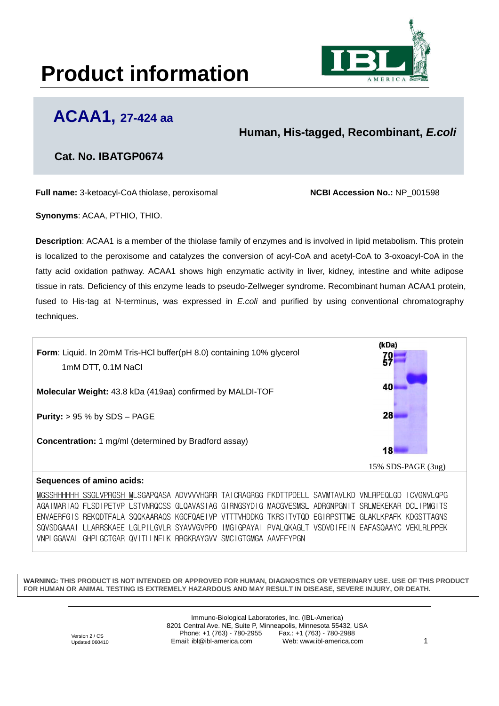## **Product information**



### **ACAA1, 27-424 aa**

**Human, His-tagged, Recombinant,** *E.coli*

### **Cat. No. IBATGP0674**

**Full name:** 3-ketoacyl-CoA thiolase, peroxisomal **NCBI Accession No.:** NP\_001598

**Synonyms**: ACAA, PTHIO, THIO.

**Description**: ACAA1 is a member of the thiolase family of enzymes and is involved in lipid metabolism. This protein is localized to the peroxisome and catalyzes the conversion of acyl-CoA and acetyl-CoA to 3-oxoacyl-CoA in the fatty acid oxidation pathway. ACAA1 shows high enzymatic activity in liver, kidney, intestine and white adipose tissue in rats. Deficiency of this enzyme leads to pseudo-Zellweger syndrome. Recombinant human ACAA1 protein, fused to His-tag at N-terminus, was expressed in *E.coli* and purified by using conventional chromatography techniques.



AGAIMARIAQ FLSDIPETVP LSTVNRQCSS GLQAVASIAG GIRNGSYDIG MACGVESMSL ADRGNPGNIT SRLMEKEKAR DCLIPMGITS ENVAERFGIS REKQDTFALA SQQKAARAQS KGCFQAEIVP VTTTVHDDKG TKRSITVTQD EGIRPSTTME GLAKLKPAFK KDGSTTAGNS SQVSDGAAAI LLARRSKAEE LGLPILGVLR SYAVVGVPPD IMGIGPAYAI PVALQKAGLT VSDVDIFEIN EAFASQAAYC VEKLRLPPEK VNPLGGAVAL GHPLGCTGAR QVITLLNELK RRGKRAYGVV SMCIGTGMGA AAVFEYPGN

**WARNING: THIS PRODUCT IS NOT INTENDED OR APPROVED FOR HUMAN, DIAGNOSTICS OR VETERINARY USE. USE OF THIS PRODUCT FOR HUMAN OR ANIMAL TESTING IS EXTREMELY HAZARDOUS AND MAY RESULT IN DISEASE, SEVERE INJURY, OR DEATH.**

> Immuno-Biological Laboratories, Inc. (IBL-America) 8201 Central Ave. NE, Suite P, Minneapolis, Minnesota 55432, USA Phone:  $+1$  (763) - 780-2955 Email: ibl@ibl-america.com Web: www.ibl-america.com 1

Version 2 / CS Updated 060410